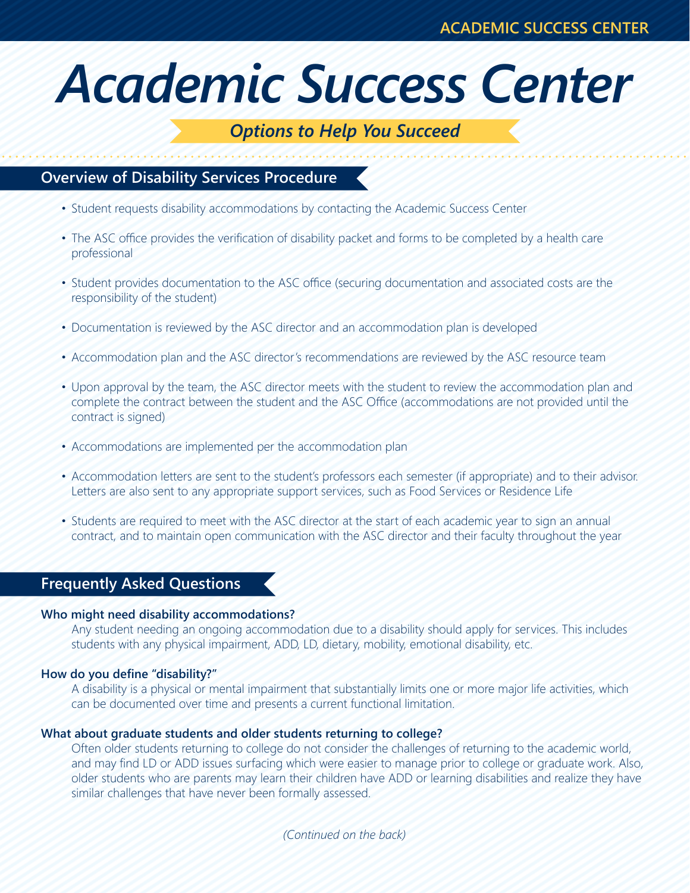# *Academic Success Center*

# *Options to Help You Succeed*

## **Overview of Disability Services Procedure**

- Student requests disability accommodations by contacting the Academic Success Center
- The ASC office provides the verification of disability packet and forms to be completed by a health care professional
- • Student provides documentation to the ASC office (securing documentation and associated costs are the responsibility of the student)
- Documentation is reviewed by the ASC director and an accommodation plan is developed
- Accommodation plan and the ASC director's recommendations are reviewed by the ASC resource team
- Upon approval by the team, the ASC director meets with the student to review the accommodation plan and complete the contract between the student and the ASC Office (accommodations are not provided until the contract is signed)
- Accommodations are implemented per the accommodation plan
- Accommodation letters are sent to the student's professors each semester (if appropriate) and to their advisor. Letters are also sent to any appropriate support services, such as Food Services or Residence Life
- Students are required to meet with the ASC director at the start of each academic year to sign an annual contract, and to maintain open communication with the ASC director and their faculty throughout the year

### **Frequently Asked Questions**

#### **Who might need disability accommodations?**

 Any student needing an ongoing accommodation due to a disability should apply for services. This includes students with any physical impairment, ADD, LD, dietary, mobility, emotional disability, etc.

#### **How do you define "disability?"**

 A disability is a physical or mental impairment that substantially limits one or more major life activities, which can be documented over time and presents a current functional limitation.

#### **What about graduate students and older students returning to college?**

 Often older students returning to college do not consider the challenges of returning to the academic world, and may find LD or ADD issues surfacing which were easier to manage prior to college or graduate work. Also, older students who are parents may learn their children have ADD or learning disabilities and realize they have similar challenges that have never been formally assessed.

*(Continued on the back)*